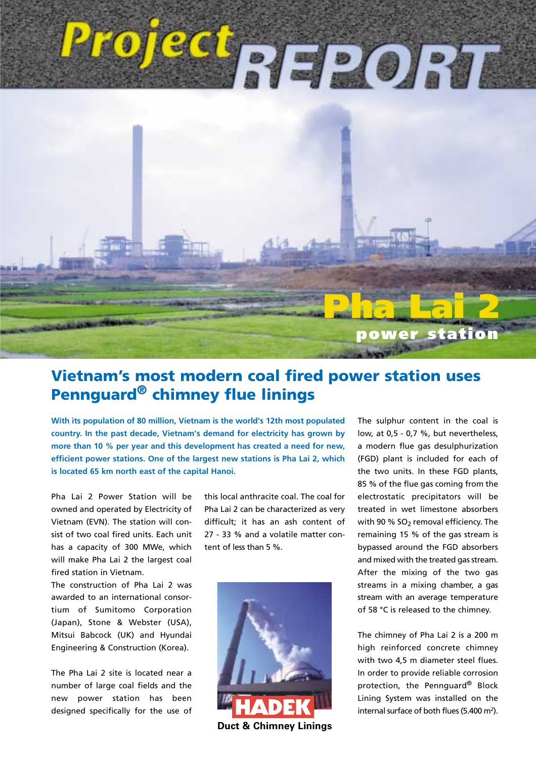# Project<sub>REPORT</sub>



## **Vietnam's most modern coal fired power station uses Pennguard® chimney flue linings**

**With its population of 80 million, Vietnam is the world's 12th most populated country. In the past decade, Vietnam's demand for electricity has grown by more than 10 % per year and this development has created a need for new, efficient power stations. One of the largest new stations is Pha Lai 2, which is located 65 km north east of the capital Hanoi.**

Pha Lai 2 Power Station will be owned and operated by Electricity of Vietnam (EVN). The station will consist of two coal fired units. Each unit has a capacity of 300 MWe, which will make Pha Lai 2 the largest coal fired station in Vietnam.

The construction of Pha Lai 2 was awarded to an international consortium of Sumitomo Corporation (Japan), Stone & Webster (USA), Mitsui Babcock (UK) and Hyundai Engineering & Construction (Korea).

The Pha Lai 2 site is located near a number of large coal fields and the new power station has been designed specifically for the use of this local anthracite coal. The coal for Pha Lai 2 can be characterized as very difficult; it has an ash content of 27 - 33 % and a volatile matter content of less than 5 %.



**Duct & Chimney Linings**

The sulphur content in the coal is low, at 0,5 - 0,7 %, but nevertheless, a modern flue gas desulphurization (FGD) plant is included for each of the two units. In these FGD plants, 85 % of the flue gas coming from the electrostatic precipitators will be treated in wet limestone absorbers with 90 %  $SO<sub>2</sub>$  removal efficiency. The remaining 15 % of the gas stream is bypassed around the FGD absorbers and mixed with the treated gas stream. After the mixing of the two gas streams in a mixing chamber, a gas stream with an average temperature of 58 °C is released to the chimney.

The chimney of Pha Lai 2 is a 200 m high reinforced concrete chimney with two 4,5 m diameter steel flues. In order to provide reliable corrosion protection, the Pennguard® Block Lining System was installed on the internal surface of both flues (5.400 m<sup>2</sup>).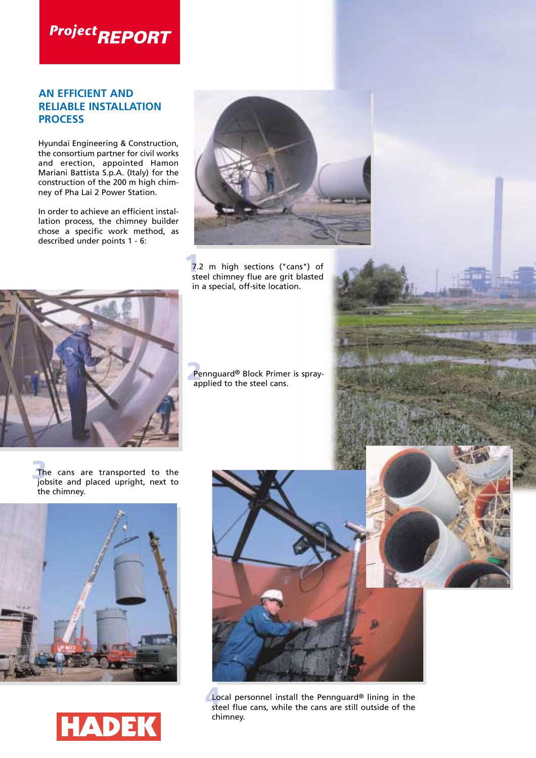## **Project REPORT**

### **AN EFFICIENT AND RELIABLE INSTALLATION PROCESS**

Hyundai Engineering & Construction, the consortium partner for civil works and erection, appointed Hamon Mariani Battista S.p.A. (Italy) for the construction of the 200 m high chimney of Pha Lai 2 Power Station.

In order to achieve an efficient installation process, the chimney builder chose a specific work method, as described under points 1 - 6:



**1**<br> **1** T.2 m high sections ("cans") of the chimney flue are grit blasted steel chimney flue are grit blasted in a special, off-site location.



Pe Pennguard® Block Primer is sprayapplied to the steel cans.

**3** The cans are transported to the jobsite and placed upright, next to the chimney.







**4** Local personnel install the Pennguard® lining in the steel flue cans, while the cans are still outside of the chimney.

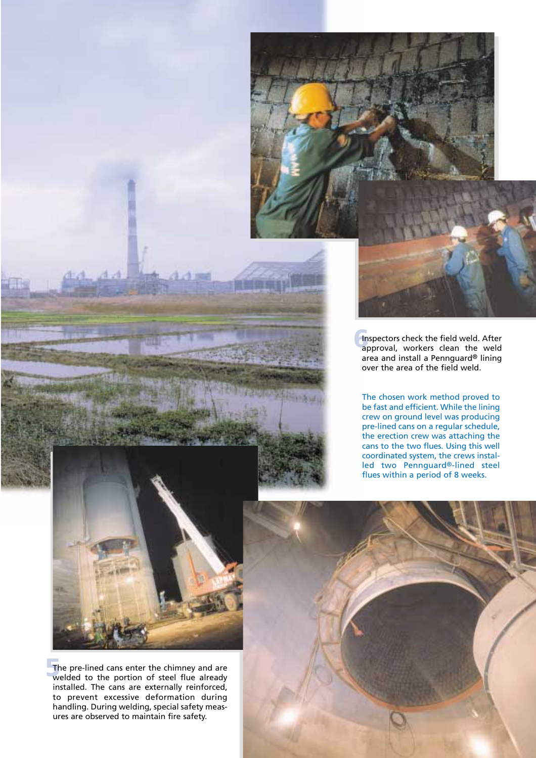

**6**Inspectors check the field weld. After<br>approval, workers clean the weld area and install a Pennguard® lining over the area of the field weld.

The chosen work method proved to be fast and efficient. While the lining crew on ground level was producing pre-lined cans on a regular schedule, the erection crew was attaching the cans to the two flues. Using this well coordinated system, the crews installed two Pennguard®-lined steel flues within a period of 8 weeks.



**5**The pre-lined cans enter the chimney and are welded to the portion of steel flue already installed. The cans are externally reinforced, to prevent excessive deformation during handling. During welding, special safety measures are observed to maintain fire safety.